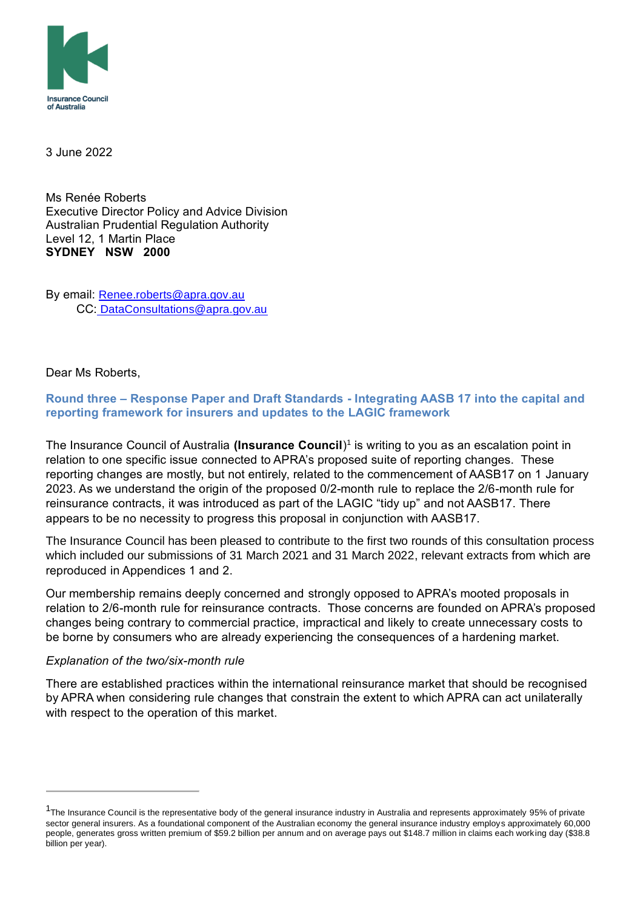

3 June 2022

Ms Renée Roberts Executive Director Policy and Advice Division Australian Prudential Regulation Authority Level 12, 1 Martin Place **SYDNEY NSW 2000**

By email: [Renee.roberts@apra.gov.au](mailto:Renee.roberts@apra.gov.au) CC: DataConsultations@apra.gov.au

Dear Ms Roberts,

**Round three – Response Paper and Draft Standards - Integrating AASB 17 into the capital and reporting framework for insurers and updates to the LAGIC framework**

The Insurance Council of Australia **(Insurance Council**) 1 is writing to you as an escalation point in relation to one specific issue connected to APRA's proposed suite of reporting changes. These reporting changes are mostly, but not entirely, related to the commencement of AASB17 on 1 January 2023. As we understand the origin of the proposed 0/2-month rule to replace the 2/6-month rule for reinsurance contracts, it was introduced as part of the LAGIC "tidy up" and not AASB17. There appears to be no necessity to progress this proposal in conjunction with AASB17.

The Insurance Council has been pleased to contribute to the first two rounds of this consultation process which included our submissions of 31 March 2021 and 31 March 2022, relevant extracts from which are reproduced in Appendices 1 and 2.

Our membership remains deeply concerned and strongly opposed to APRA's mooted proposals in relation to 2/6-month rule for reinsurance contracts. Those concerns are founded on APRA's proposed changes being contrary to commercial practice, impractical and likely to create unnecessary costs to be borne by consumers who are already experiencing the consequences of a hardening market.

#### *Explanation of the two/six-month rule*

There are established practices within the international reinsurance market that should be recognised by APRA when considering rule changes that constrain the extent to which APRA can act unilaterally with respect to the operation of this market.

<sup>&</sup>lt;sup>1</sup>The Insurance Council is the representative body of the general insurance industry in Australia and represents approximately 95% of private sector general insurers. As a foundational component of the Australian economy the general insurance industry employs approximately 60,000 people, generates gross written premium of \$59.2 billion per annum and on average pays out \$148.7 million in claims each working day (\$38.8 billion per year).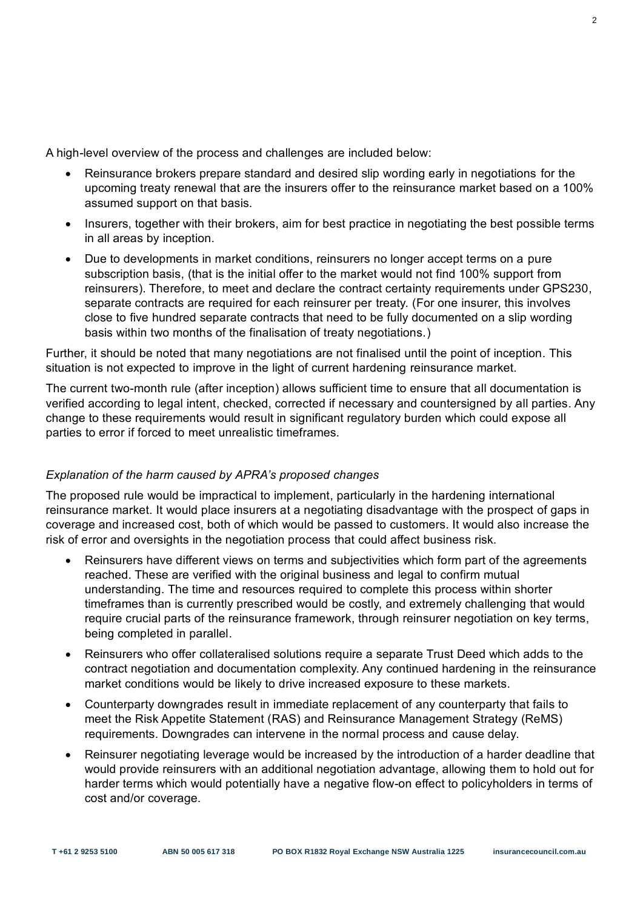A high-level overview of the process and challenges are included below:

- Reinsurance brokers prepare standard and desired slip wording early in negotiations for the upcoming treaty renewal that are the insurers offer to the reinsurance market based on a 100% assumed support on that basis.
- Insurers, together with their brokers, aim for best practice in negotiating the best possible terms in all areas by inception.
- Due to developments in market conditions, reinsurers no longer accept terms on a pure subscription basis, (that is the initial offer to the market would not find 100% support from reinsurers). Therefore, to meet and declare the contract certainty requirements under GPS230, separate contracts are required for each reinsurer per treaty. (For one insurer, this involves close to five hundred separate contracts that need to be fully documented on a slip wording basis within two months of the finalisation of treaty negotiations.)

Further, it should be noted that many negotiations are not finalised until the point of inception. This situation is not expected to improve in the light of current hardening reinsurance market.

The current two-month rule (after inception) allows sufficient time to ensure that all documentation is verified according to legal intent, checked, corrected if necessary and countersigned by all parties. Any change to these requirements would result in significant regulatory burden which could expose all parties to error if forced to meet unrealistic timeframes.

## *Explanation of the harm caused by APRA's proposed changes*

The proposed rule would be impractical to implement, particularly in the hardening international reinsurance market. It would place insurers at a negotiating disadvantage with the prospect of gaps in coverage and increased cost, both of which would be passed to customers. It would also increase the risk of error and oversights in the negotiation process that could affect business risk.

- Reinsurers have different views on terms and subjectivities which form part of the agreements reached. These are verified with the original business and legal to confirm mutual understanding. The time and resources required to complete this process within shorter timeframes than is currently prescribed would be costly, and extremely challenging that would require crucial parts of the reinsurance framework, through reinsurer negotiation on key terms, being completed in parallel.
- Reinsurers who offer collateralised solutions require a separate Trust Deed which adds to the contract negotiation and documentation complexity. Any continued hardening in the reinsurance market conditions would be likely to drive increased exposure to these markets.
- Counterparty downgrades result in immediate replacement of any counterparty that fails to meet the Risk Appetite Statement (RAS) and Reinsurance Management Strategy (ReMS) requirements. Downgrades can intervene in the normal process and cause delay.
- Reinsurer negotiating leverage would be increased by the introduction of a harder deadline that would provide reinsurers with an additional negotiation advantage, allowing them to hold out for harder terms which would potentially have a negative flow-on effect to policyholders in terms of cost and/or coverage.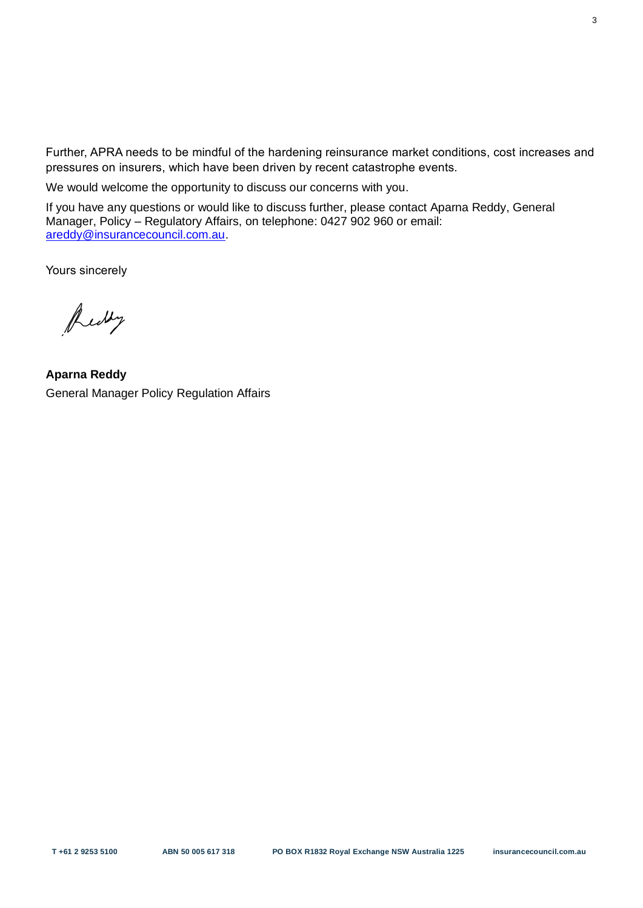Further, APRA needs to be mindful of the hardening reinsurance market conditions, cost increases and pressures on insurers, which have been driven by recent catastrophe events.

We would welcome the opportunity to discuss our concerns with you.

If you have any questions or would like to discuss further, please contact Aparna Reddy, General Manager, Policy – Regulatory Affairs, on telephone: 0427 902 960 or email: [areddy@insurancecouncil.com.au.](mailto:areddy@insurancecouncil.com.au)

Yours sincerely

Redby

**Aparna Reddy** General Manager Policy Regulation Affairs

3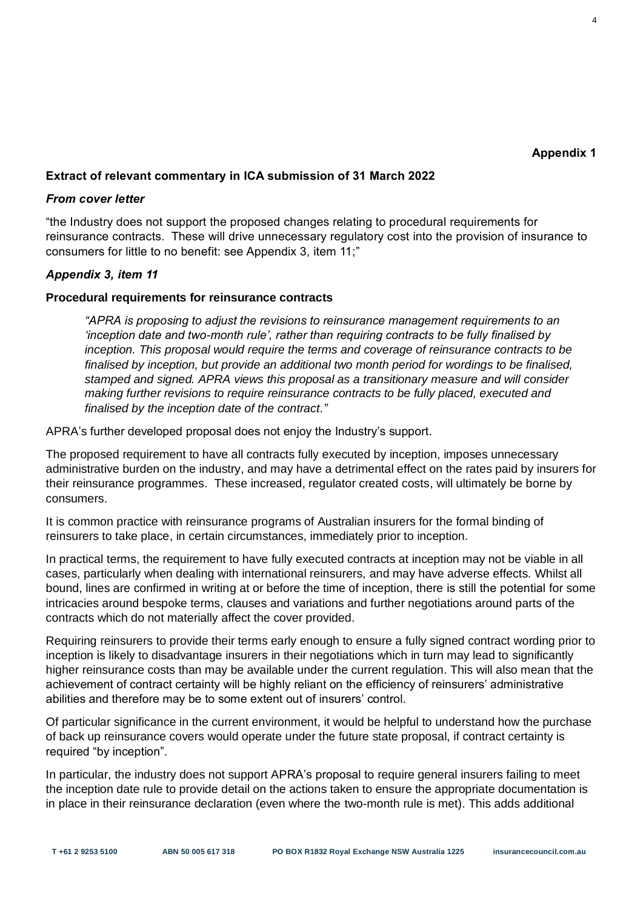4

# **Extract of relevant commentary in ICA submission of 31 March 2022**

#### *From cover letter*

"the Industry does not support the proposed changes relating to procedural requirements for reinsurance contracts. These will drive unnecessary regulatory cost into the provision of insurance to consumers for little to no benefit: see Appendix 3, item 11;"

## *Appendix 3, item 11*

#### **Procedural requirements for reinsurance contracts**

*"APRA is proposing to adjust the revisions to reinsurance management requirements to an 'inception date and two-month rule', rather than requiring contracts to be fully finalised by inception. This proposal would require the terms and coverage of reinsurance contracts to be*  finalised by inception, but provide an additional two month period for wordings to be finalised, *stamped and signed. APRA views this proposal as a transitionary measure and will consider making further revisions to require reinsurance contracts to be fully placed, executed and finalised by the inception date of the contract."*

APRA's further developed proposal does not enjoy the Industry's support.

The proposed requirement to have all contracts fully executed by inception, imposes unnecessary administrative burden on the industry, and may have a detrimental effect on the rates paid by insurers for their reinsurance programmes. These increased, regulator created costs, will ultimately be borne by consumers.

It is common practice with reinsurance programs of Australian insurers for the formal binding of reinsurers to take place, in certain circumstances, immediately prior to inception.

In practical terms, the requirement to have fully executed contracts at inception may not be viable in all cases, particularly when dealing with international reinsurers, and may have adverse effects. Whilst all bound, lines are confirmed in writing at or before the time of inception, there is still the potential for some intricacies around bespoke terms, clauses and variations and further negotiations around parts of the contracts which do not materially affect the cover provided.

Requiring reinsurers to provide their terms early enough to ensure a fully signed contract wording prior to inception is likely to disadvantage insurers in their negotiations which in turn may lead to significantly higher reinsurance costs than may be available under the current regulation. This will also mean that the achievement of contract certainty will be highly reliant on the efficiency of reinsurers' administrative abilities and therefore may be to some extent out of insurers' control.

Of particular significance in the current environment, it would be helpful to understand how the purchase of back up reinsurance covers would operate under the future state proposal, if contract certainty is required "by inception".

In particular, the industry does not support APRA's proposal to require general insurers failing to meet the inception date rule to provide detail on the actions taken to ensure the appropriate documentation is in place in their reinsurance declaration (even where the two-month rule is met). This adds additional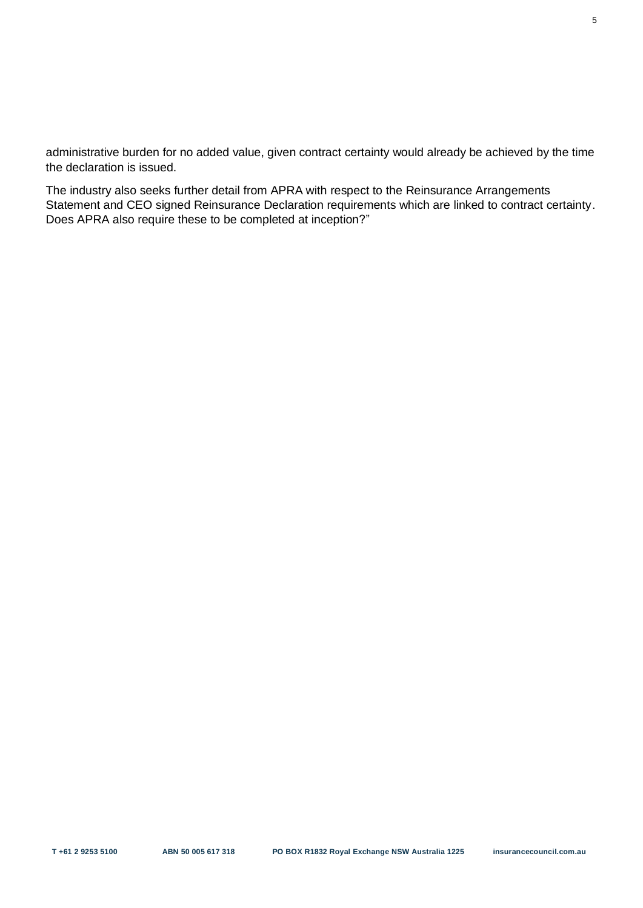administrative burden for no added value, given contract certainty would already be achieved by the time the declaration is issued.

The industry also seeks further detail from APRA with respect to the Reinsurance Arrangements Statement and CEO signed Reinsurance Declaration requirements which are linked to contract certainty. Does APRA also require these to be completed at inception?"